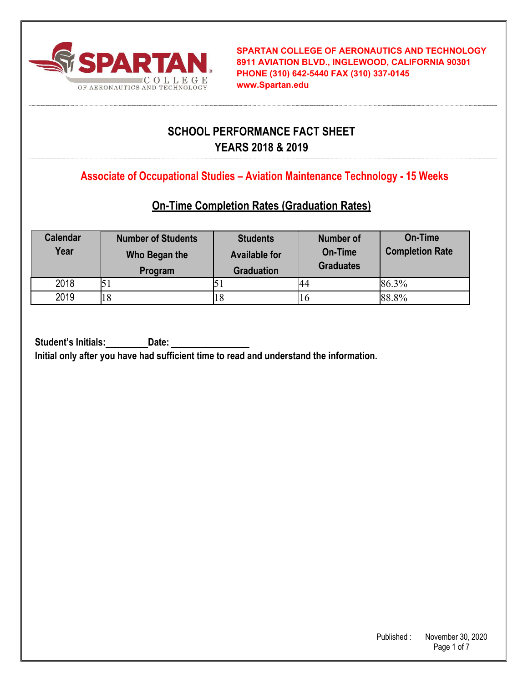

**SPARTAN COLLEGE OF AERONAUTICS AND TECHNOLOGY 8911 AVIATION BLVD., INGLEWOOD, CALIFORNIA 90301 PHONE (310) 642-5440 FAX (310) 337-0145 www.Spartan.edu**

# **SCHOOL PERFORMANCE FACT SHEET YEARS 2018 & 2019**

**Associate of Occupational Studies – Aviation Maintenance Technology - 15 Weeks**

## **On-Time Completion Rates (Graduation Rates)**

| <b>Calendar</b><br>Year | <b>Number of Students</b><br>Who Began the<br>Program | <b>Students</b><br><b>Available for</b><br><b>Graduation</b> | <b>Number of</b><br>On-Time<br><b>Graduates</b> | On-Time<br><b>Completion Rate</b> |
|-------------------------|-------------------------------------------------------|--------------------------------------------------------------|-------------------------------------------------|-----------------------------------|
| 2018                    |                                                       |                                                              | 44                                              | 86.3%                             |
| 2019                    |                                                       | 18                                                           | 10                                              | 88.8%                             |

**Student's Initials: Date:** 

**Initial only after you have had sufficient time to read and understand the information.**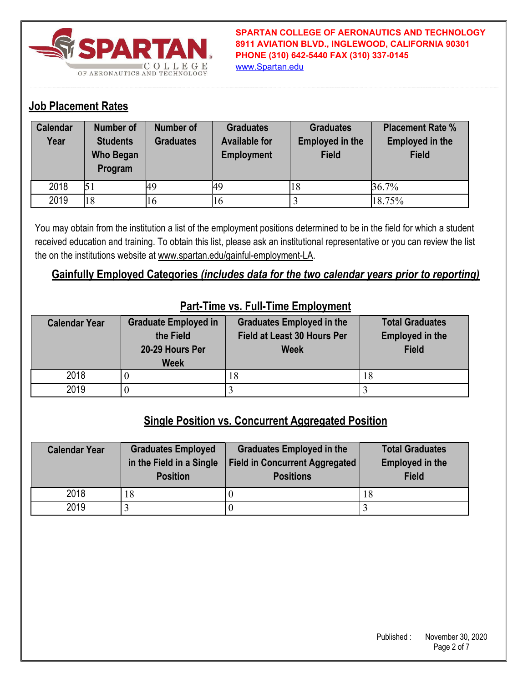

**SPARTAN COLLEGE OF AERONAUTICS AND TECHNOLOGY 8911 AVIATION BLVD., INGLEWOOD, CALIFORNIA 90301 PHONE (310) 642-5440 FAX (310) 337-0145** www.Spartan.edu

### **Job Placement Rates**

| <b>Calendar</b><br>Year | <b>Number of</b><br><b>Students</b><br><b>Who Began</b><br>Program | Number of<br><b>Graduates</b> | <b>Graduates</b><br><b>Available for</b><br><b>Employment</b> | <b>Graduates</b><br><b>Employed in the</b><br><b>Field</b> | <b>Placement Rate %</b><br><b>Employed in the</b><br><b>Field</b> |
|-------------------------|--------------------------------------------------------------------|-------------------------------|---------------------------------------------------------------|------------------------------------------------------------|-------------------------------------------------------------------|
| 2018                    |                                                                    | 49                            | 49                                                            | 18                                                         | 36.7%                                                             |
| 2019                    | 18                                                                 | 16                            | Iб                                                            |                                                            | 18.75%                                                            |

You may obtain from the institution a list of the employment positions determined to be in the field for which a student received education and training. To obtain this list, please ask an institutional representative or you can review the list the on the institutions website at www.spartan.edu/gainful-employment-LA.

### **Gainfully Employed Categories** *(includes data for the two calendar years prior to reporting)*

| <b>Calendar Year</b> | <b>Graduate Employed in</b> | <b>Graduates Employed in the</b> | <b>Total Graduates</b> |
|----------------------|-----------------------------|----------------------------------|------------------------|
|                      | the Field                   | Field at Least 30 Hours Per      | <b>Employed in the</b> |
|                      | 20-29 Hours Per             | <b>Week</b>                      | <b>Field</b>           |
|                      | <b>Week</b>                 |                                  |                        |
| 2018                 |                             | ١ð                               | 18                     |
| 2019                 |                             |                                  |                        |

#### **Part-Time vs. Full-Time Employment**

### **Single Position vs. Concurrent Aggregated Position**

| <b>Calendar Year</b> | <b>Graduates Employed</b><br>in the Field in a Single<br><b>Position</b> | <b>Graduates Employed in the</b><br><b>Field in Concurrent Aggregated</b><br><b>Positions</b> | <b>Total Graduates</b><br><b>Employed in the</b><br><b>Field</b> |
|----------------------|--------------------------------------------------------------------------|-----------------------------------------------------------------------------------------------|------------------------------------------------------------------|
| 2018                 | 18                                                                       |                                                                                               | 18                                                               |
| 2019                 |                                                                          |                                                                                               |                                                                  |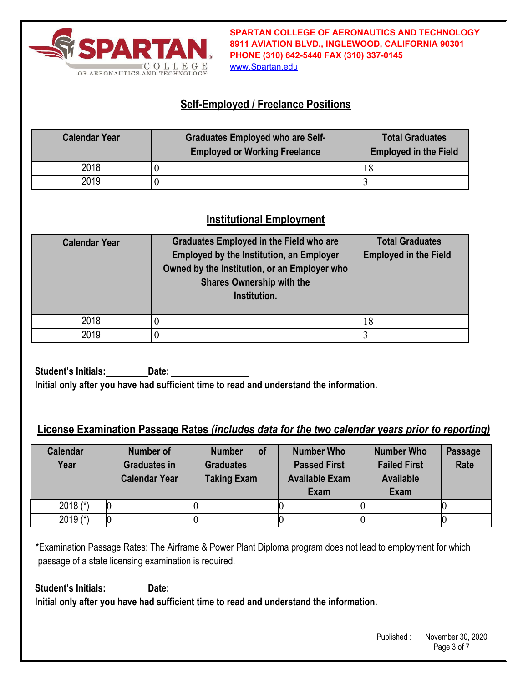

**SPARTAN COLLEGE OF AERONAUTICS AND TECHNOLOGY 8911 AVIATION BLVD., INGLEWOOD, CALIFORNIA 90301 PHONE (310) 642-5440 FAX (310) 337-0145**

#### www.Spartan.edu

### **Self-Employed / Freelance Positions**

| <b>Calendar Year</b> | <b>Graduates Employed who are Self-</b><br><b>Employed or Working Freelance</b> | <b>Total Graduates</b><br><b>Employed in the Field</b> |
|----------------------|---------------------------------------------------------------------------------|--------------------------------------------------------|
| 2018                 |                                                                                 |                                                        |
| 2019                 |                                                                                 |                                                        |

### **Institutional Employment**

| <b>Calendar Year</b> | <b>Graduates Employed in the Field who are</b><br><b>Employed by the Institution, an Employer</b><br>Owned by the Institution, or an Employer who<br><b>Shares Ownership with the</b><br>Institution. | <b>Total Graduates</b><br><b>Employed in the Field</b> |
|----------------------|-------------------------------------------------------------------------------------------------------------------------------------------------------------------------------------------------------|--------------------------------------------------------|
| 2018                 |                                                                                                                                                                                                       | 18                                                     |
| 2019                 |                                                                                                                                                                                                       |                                                        |

**Student's Initials: Date: Initial only after you have had sufficient time to read and understand the information.** 

#### **License Examination Passage Rates** *(includes data for the two calendar years prior to reporting)*

| <b>Calendar</b><br>Year | <b>Number of</b><br><b>Graduates in</b><br><b>Calendar Year</b> | <b>of</b><br><b>Number</b><br><b>Graduates</b><br><b>Taking Exam</b> | <b>Number Who</b><br><b>Passed First</b><br><b>Available Exam</b><br><b>Exam</b> | <b>Number Who</b><br><b>Failed First</b><br><b>Available</b><br><b>Exam</b> | <b>Passage</b><br>Rate |
|-------------------------|-----------------------------------------------------------------|----------------------------------------------------------------------|----------------------------------------------------------------------------------|-----------------------------------------------------------------------------|------------------------|
| 2018 $(*)$              |                                                                 |                                                                      |                                                                                  |                                                                             |                        |
| 2019 $(*)$              |                                                                 |                                                                      |                                                                                  |                                                                             |                        |

\*Examination Passage Rates: The Airframe & Power Plant Diploma program does not lead to employment for which passage of a state licensing examination is required.

**Student's Initials: Date: Initial only after you have had sufficient time to read and understand the information.**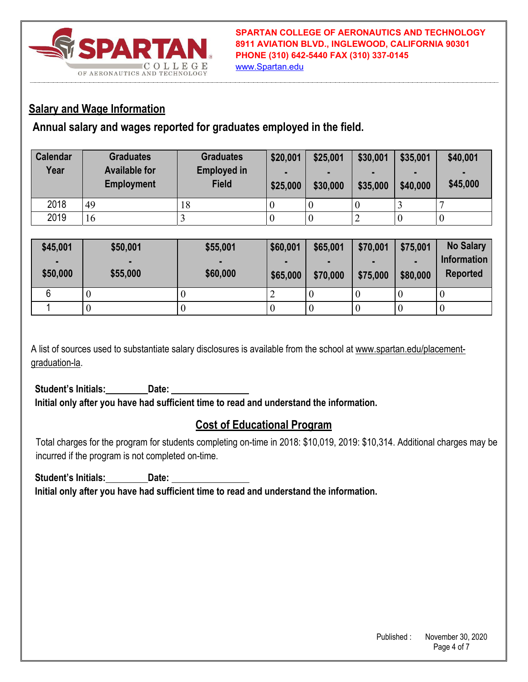

www.Spartan.edu

### **Salary and Wage Information**

**Annual salary and wages reported for graduates employed in the field.** 

| <b>Calendar</b><br>Year | <b>Graduates</b><br><b>Available for</b><br><b>Employment</b> | <b>Graduates</b><br><b>Employed in</b><br><b>Field</b> | \$20,001<br>\$25,000 | \$25,001<br>٠<br>\$30,000 | \$30,001<br>\$35,000 | \$35,001<br>٠<br>\$40,000 | \$40,001<br>\$45,000 |
|-------------------------|---------------------------------------------------------------|--------------------------------------------------------|----------------------|---------------------------|----------------------|---------------------------|----------------------|
| 2018                    | 49                                                            | 18                                                     | 0                    | $\cup$                    |                      |                           |                      |
| 2019                    | 16                                                            |                                                        | 0                    | U                         | ∽                    |                           |                      |

| \$45,001<br>٠<br>\$50,000 | \$50,001<br>\$55,000 | \$55,001<br>\$60,000 | \$60,001<br>\$65,000 | \$65,001<br>\$70,000 | \$70,001<br>\$75,000 | \$75,001<br>\$80,000 | <b>No Salary</b><br><b>Information</b><br><b>Reported</b> |
|---------------------------|----------------------|----------------------|----------------------|----------------------|----------------------|----------------------|-----------------------------------------------------------|
|                           |                      |                      |                      |                      |                      |                      | U                                                         |
|                           |                      |                      |                      | ν                    |                      |                      | - U                                                       |

A list of sources used to substantiate salary disclosures is available from the school at www.spartan.edu/placementgraduation-la.

Student's Initials:\_\_\_\_\_\_\_\_ Date: **Initial only after you have had sufficient time to read and understand the information.** 

# **Cost of Educational Program**

Total charges for the program for students completing on-time in 2018: \$10,019, 2019: \$10,314. Additional charges may be incurred if the program is not completed on-time.

Student's Initials: Date: **Initial only after you have had sufficient time to read and understand the information.**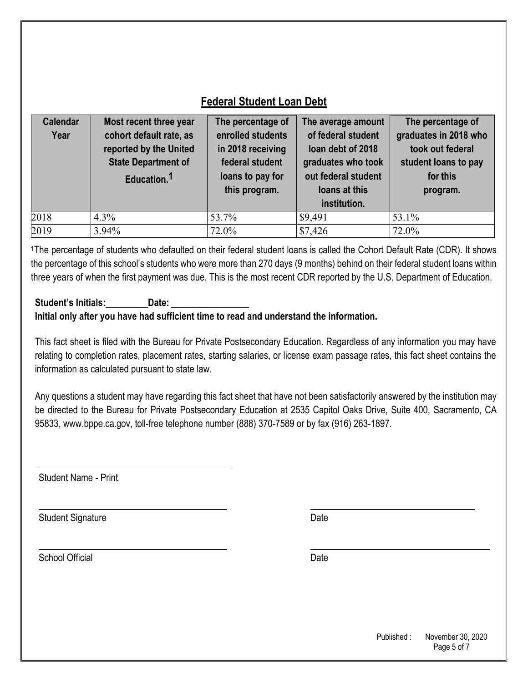# **Federal Student Loan Debt**

| <b>Calendar</b><br>Year | Most recent three year<br>cohort default rate, as<br>reported by the United<br><b>State Department of</b><br>Education. <sup>1</sup> | The percentage of<br>enrolled students<br>in 2018 receiving<br>federal student<br>loans to pay for<br>this program. | The average amount<br>of federal student<br>loan debt of 2018<br>graduates who took<br>out federal student<br>loans at this<br>institution. | The percentage of<br>graduates in 2018 who<br>took out federal<br>student loans to pay<br>for this<br>program. |
|-------------------------|--------------------------------------------------------------------------------------------------------------------------------------|---------------------------------------------------------------------------------------------------------------------|---------------------------------------------------------------------------------------------------------------------------------------------|----------------------------------------------------------------------------------------------------------------|
| 2018                    | $4.3\%$                                                                                                                              | 53.7%                                                                                                               | \$9,491                                                                                                                                     | 53.1%                                                                                                          |
| 2019                    | 3.94%                                                                                                                                | 72.0%                                                                                                               | \$7,426                                                                                                                                     | 72.0%                                                                                                          |

**<sup>1</sup>**The percentage of students who defaulted on their federal student loans is called the Cohort Default Rate (CDR). It shows the percentage of this school's students who were more than 270 days (9 months) behind on their federal student loans within three years of when the first payment was due. This is the most recent CDR reported by the U.S. Department of Education.

#### **Student's Initials: Date: Initial only after you have had sufficient time to read and understand the information.**

This fact sheet is filed with the Bureau for Private Postsecondary Education. Regardless of any information you may have relating to completion rates, placement rates, starting salaries, or license exam passage rates, this fact sheet contains the information as calculated pursuant to state law.

Any questions a student may have regarding this fact sheet that have not been satisfactorily answered by the institution may be directed to the Bureau for Private Postsecondary Education at 2535 Capitol Oaks Drive, Suite 400, Sacramento, CA 95833, www.bppe.ca.gov, toll-free telephone number (888) 370-7589 or by fax (916) 263-1897.

Student Name - Print

Student Signature Date Date

School Official Date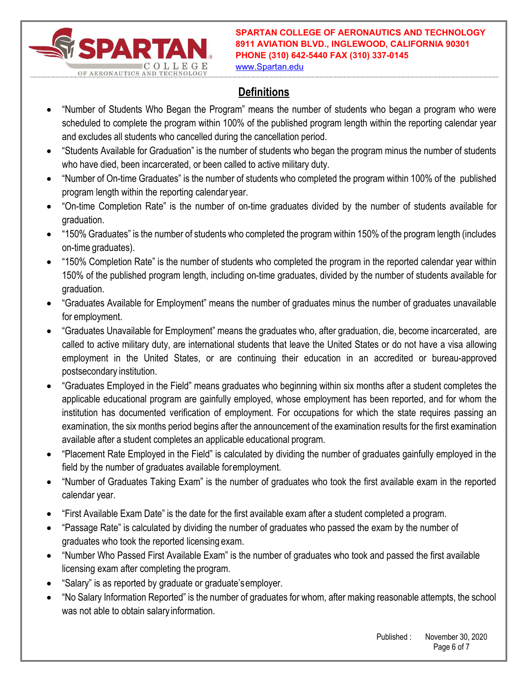

**SPARTAN COLLEGE OF AERONAUTICS AND TECHNOLOGY 8911 AVIATION BLVD., INGLEWOOD, CALIFORNIA 90301 PHONE (310) 642-5440 FAX (310) 337-0145**

www.Spartan.edu

# **Definitions**

- "Number of Students Who Began the Program" means the number of students who began a program who were scheduled to complete the program within 100% of the published program length within the reporting calendar year and excludes all students who cancelled during the cancellation period.
- "Students Available for Graduation" is the number of students who began the program minus the number of students who have died, been incarcerated, or been called to active military duty.
- "Number of On-time Graduates" is the number of students who completed the program within 100% of the published program length within the reporting calendar year.
- "On-time Completion Rate" is the number of on-time graduates divided by the number of students available for graduation.
- "150% Graduates" is the number of students who completed the program within 150% of the program length (includes on-time graduates).
- "150% Completion Rate" is the number of students who completed the program in the reported calendar year within 150% of the published program length, including on-time graduates, divided by the number of students available for graduation.
- "Graduates Available for Employment" means the number of graduates minus the number of graduates unavailable for employment.
- "Graduates Unavailable for Employment" means the graduates who, after graduation, die, become incarcerated, are called to active military duty, are international students that leave the United States or do not have a visa allowing employment in the United States, or are continuing their education in an accredited or bureau-approved postsecondary institution.
- "Graduates Employed in the Field" means graduates who beginning within six months after a student completes the applicable educational program are gainfully employed, whose employment has been reported, and for whom the institution has documented verification of employment. For occupations for which the state requires passing an examination, the six months period begins after the announcement of the examination results for the first examination available after a student completes an applicable educational program.
- "Placement Rate Employed in the Field" is calculated by dividing the number of graduates gainfully employed in the field by the number of graduates available for employment.
- "Number of Graduates Taking Exam" is the number of graduates who took the first available exam in the reported calendar year.
- "First Available Exam Date" is the date for the first available exam after a student completed a program.
- "Passage Rate" is calculated by dividing the number of graduates who passed the exam by the number of graduates who took the reported licensing exam.
- "Number Who Passed First Available Exam" is the number of graduates who took and passed the first available licensing exam after completing the program.
- "Salary" is as reported by graduate or graduate's employer.
- "No Salary Information Reported" is the number of graduates for whom, after making reasonable attempts, the school was not able to obtain salary information.